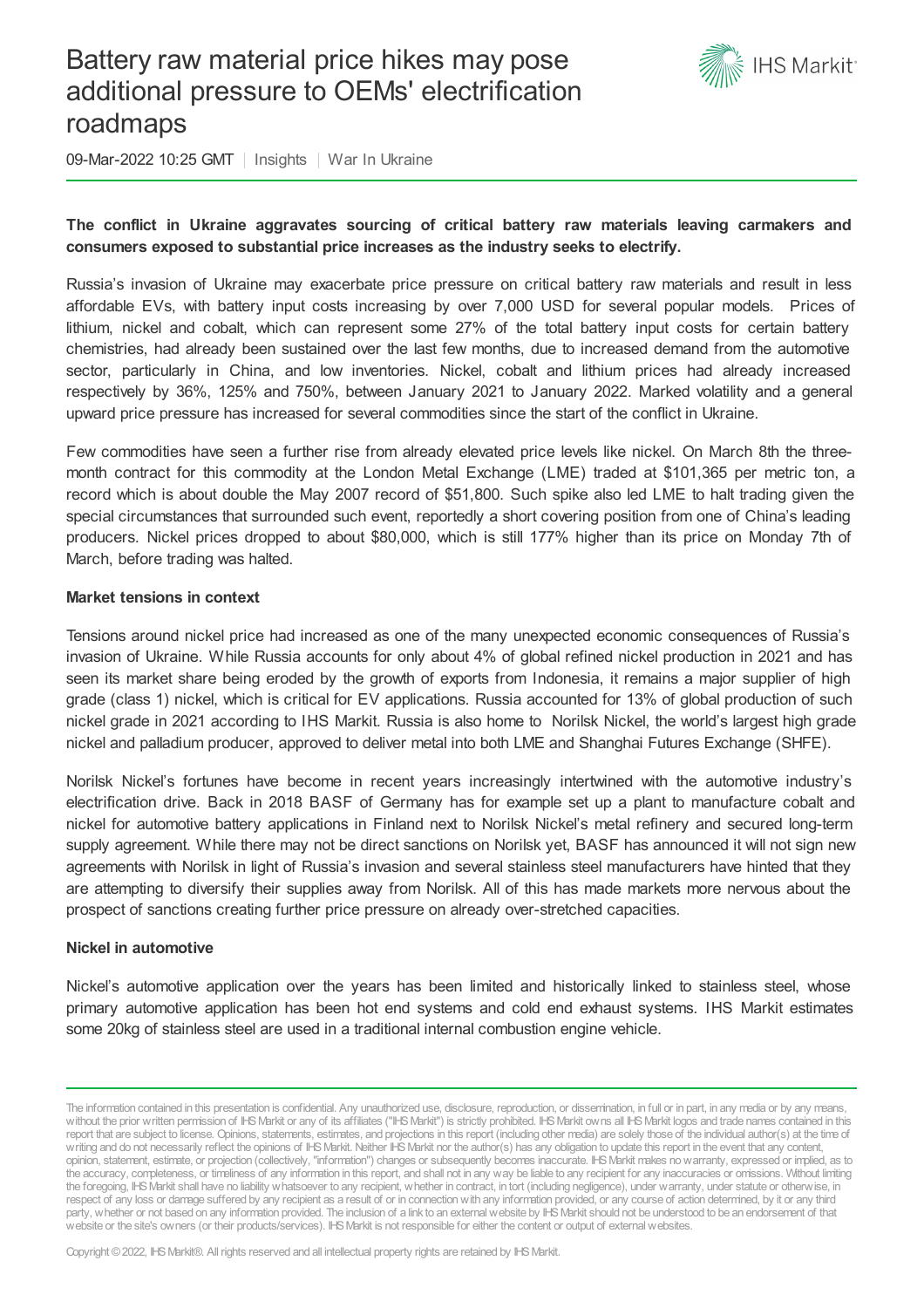# Battery raw material price hikes may pose additional pressure to OEMs' electrification roadmaps



09-Mar-2022 10:25 GMT | Insights | War In Ukraine

# **The conflict in Ukraine aggravates sourcing of critical battery raw materials leaving carmakers and consumers exposed to substantial price increases as the industry seeks to electrify.**

Russia's invasion of Ukraine may exacerbate price pressure on critical battery raw materials and result in less affordable EVs, with battery input costs increasing by over 7,000 USD for several popular models. Prices of lithium, nickel and cobalt, which can represent some 27% of the total battery input costs for certain battery chemistries, had already been sustained over the last few months, due to increased demand from the automotive sector, particularly in China, and low inventories. Nickel, cobalt and lithium prices had already increased respectively by 36%, 125% and 750%, between January 2021 to January 2022. Marked volatility and a general upward price pressure has increased for several commodities since the start of the conflict in Ukraine.

Few commodities have seen a further rise from already elevated price levels like nickel. On March 8th the threemonth contract for this commodity at the London Metal Exchange (LME) traded at \$101,365 per metric ton, a record which is about double the May 2007 record of \$51,800. Such spike also led LME to halt trading given the special circumstances that surrounded such event, reportedly a short covering position from one of China's leading producers. Nickel prices dropped to about \$80,000, which is still 177% higher than its price on Monday 7th of March, before trading was halted.

## **Market tensions in context**

Tensions around nickel price had increased as one of the many unexpected economic consequences of Russia's invasion of Ukraine. While Russia accounts for only about 4% of global refined nickel production in 2021 and has seen its market share being eroded by the growth of exports from Indonesia, it remains a major supplier of high grade (class 1) nickel, which is critical for EV applications. Russia accounted for 13% of global production of such nickel grade in 2021 according to IHS Markit. Russia is also home to Norilsk Nickel, the world's largest high grade nickel and palladium producer, approved to deliver metal into both LME and Shanghai Futures Exchange (SHFE).

Norilsk Nickel's fortunes have become in recent years increasingly intertwined with the automotive industry's electrification drive. Back in 2018 BASF of Germany has for example set up a plant to manufacture cobalt and nickel for automotive battery applications in Finland next to Norilsk Nickel's metal refinery and secured long-term supply agreement. While there may not be direct sanctions on Norilsk yet, BASF has announced it will not sign new agreements with Norilsk in light of Russia's invasion and several stainless steel manufacturers have hinted that they are attempting to diversify their supplies away from Norilsk. All of this has made markets more nervous about the prospect of sanctions creating further price pressure on already over-stretched capacities.

#### **Nickel in automotive**

Nickel's automotive application over the years has been limited and historically linked to stainless steel, whose primary automotive application has been hot end systems and cold end exhaust systems. IHS Markit estimates some 20kg of stainless steel are used in a traditional internal combustion engine vehicle.

The information contained in this presentation is confidential. Any unauthorized use, disclosure, reproduction, or dissemination, in full or in part, in any media or by any means, without the prior written permission of IHS Markit or any of its affiliates ("IHS Markit") is strictly prohibited. IHS Markit owns all IHS Markit logos and trade names contained in this report that are subject to license. Opinions, statements, estimates, and projections in this report (including other media) are solely those of the individual author(s) at the time of writing and do not necessarily reflect the opinions of IHS Markit. Neither IHS Markit nor the author(s) has any obligation to update this report in the event that any content, opinion, statement, estimate, or projection (collectively, "information") changes or subsequently becomes inaccurate. IHSMarkit makes nowarranty, expressed or implied, as to the accuracy, completeness, or timeliness of any information in this report, and shall not in any way be liable to any recipient for any inaccuracies or omissions. Without limiting the foregoing, IHSMarkit shall have no liability whatsoever to any recipient, whether in contract, in tort (including negligence), under warranty, under statute or otherwise, in respect of any loss or damage suffered by any recipient as a result of or in connectionwith any information provided, or any course of action determined, by it or any third party, whether or not based on any information provided. The inclusion of a link to an external website by IHS Markit should not be understood to be an endorsement of that website or the site's owners (or their products/services). IHS Markit is not responsible for either the content or output of external websites.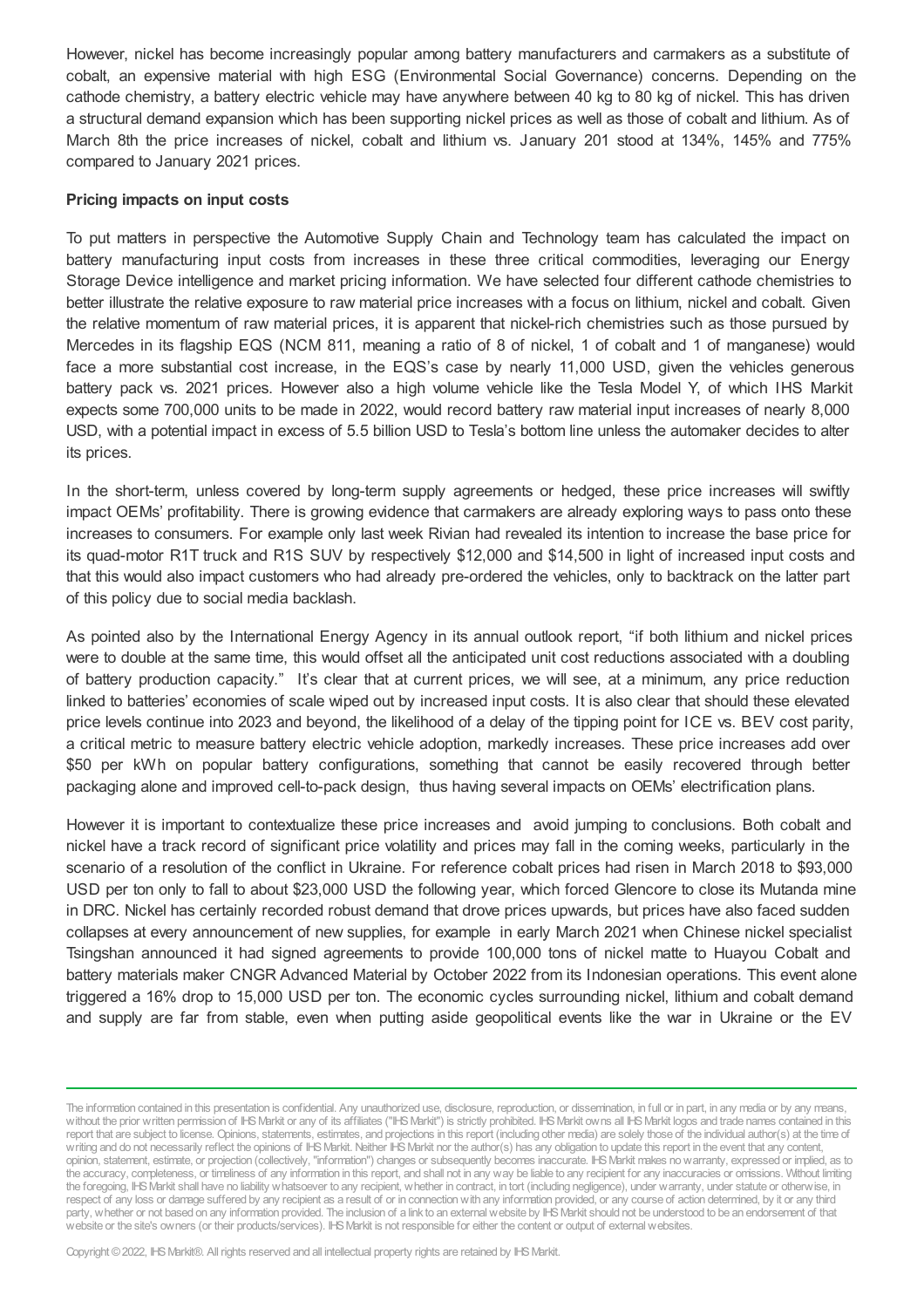However, nickel has become increasingly popular among battery manufacturers and carmakers as a substitute of cobalt, an expensive material with high ESG (Environmental Social Governance) concerns. Depending on the cathode chemistry, a battery electric vehicle may have anywhere between 40 kg to 80 kg of nickel. This has driven a structural demand expansion which has been supporting nickel prices as well as those of cobalt and lithium. As of March 8th the price increases of nickel, cobalt and lithium vs. January 201 stood at 134%, 145% and 775% compared to January 2021 prices.

#### **Pricing impacts on input costs**

To put matters in perspective the Automotive Supply Chain and Technology team has calculated the impact on battery manufacturing input costs from increases in these three critical commodities, leveraging our Energy Storage Device intelligence and market pricing information. We have selected four different cathode chemistries to better illustrate the relative exposure to raw material price increases with a focus on lithium, nickel and cobalt. Given the relative momentum of raw material prices, it is apparent that nickel-rich chemistries such as those pursued by Mercedes in its flagship EQS (NCM 811, meaning a ratio of 8 of nickel, 1 of cobalt and 1 of manganese) would face a more substantial cost increase, in the EQS's case by nearly 11,000 USD, given the vehicles generous battery pack vs. 2021 prices. However also a high volume vehicle like the Tesla Model Y, of which IHS Markit expects some 700,000 units to be made in 2022, would record battery raw material input increases of nearly 8,000 USD, with a potential impact in excess of 5.5 billion USD to Tesla's bottom line unless the automaker decides to alter its prices.

In the short-term, unless covered by long-term supply agreements or hedged, these price increases will swiftly impact OEMs' profitability. There is growing evidence that carmakers are already exploring ways to pass onto these increases to consumers. For example only last week Rivian had revealed its intention to increase the base price for its quad-motor R1T truck and R1S SUV by respectively \$12,000 and \$14,500 in light of increased input costs and that this would also impact customers who had already pre-ordered the vehicles, only to backtrack on the latter part of this policy due to social media backlash.

As pointed also by the International Energy Agency in its annual outlook report, "if both lithium and nickel prices were to double at the same time, this would offset all the anticipated unit cost reductions associated with a doubling of battery production capacity." It's clear that at current prices, we will see, at a minimum, any price reduction linked to batteries' economies of scale wiped out by increased input costs. It is also clear that should these elevated price levels continue into 2023 and beyond, the likelihood of a delay of the tipping point for ICE vs. BEV cost parity, a critical metric to measure battery electric vehicle adoption, markedly increases. These price increases add over \$50 per kWh on popular battery configurations, something that cannot be easily recovered through better packaging alone and improved cell-to-pack design, thus having several impacts on OEMs' electrification plans.

However it is important to contextualize these price increases and avoid jumping to conclusions. Both cobalt and nickel have a track record of significant price volatility and prices may fall in the coming weeks, particularly in the scenario of a resolution of the conflict in Ukraine. For reference cobalt prices had risen in March 2018 to \$93,000 USD per ton only to fall to about \$23,000 USD the following year, which forced Glencore to close its Mutanda mine in DRC. Nickel has certainly recorded robust demand that drove prices upwards, but prices have also faced sudden collapses at every announcement of new supplies, for example in early March 2021 when Chinese nickel specialist Tsingshan announced it had signed agreements to provide 100,000 tons of nickel matte to Huayou Cobalt and battery materials maker CNGR Advanced Material by October 2022 from its Indonesian operations. This event alone triggered a 16% drop to 15,000 USD per ton. The economic cycles surrounding nickel, lithium and cobalt demand and supply are far from stable, even when putting aside geopolitical events like the war in Ukraine or the EV

The information contained in this presentation is confidential. Any unauthorized use, disclosure, reproduction, or dissemination, in full or in part, in any media or by any means, without the prior written permission of IHS Markit or any of its affiliates ("IHS Markit") is strictly prohibited. IHS Markit owns all IHS Markit logos and trade names contained in this report that are subject to license. Opinions, statements, estimates, and projections in this report (including other media) are solely those of the individual author(s) at the time of writing and do not necessarily reflect the opinions of IHS Markit. Neither IHS Markit nor the author(s) has any obligation to update this report in the event that any content, opinion, statement, estimate, or projection (collectively, "information") changes or subsequently becomes inaccurate. IHSMarkit makes nowarranty, expressed or implied, as to the accuracy, completeness, or timeliness of any information in this report, and shall not in any way be liable to any recipient for any inaccuracies or omissions. Without limiting the foregoing, IHSMarkit shall have no liability whatsoever to any recipient, whether in contract, in tort (including negligence), under warranty, under statute or otherwise, in respect of any loss or damage suffered by any recipient as a result of or in connectionwith any information provided, or any course of action determined, by it or any third party, whether or not based on any information provided. The inclusion of a link to an external website by IHS Markit should not be understood to be an endorsement of that website or the site's owners (or their products/services). IHS Markit is not responsible for either the content or output of external websites.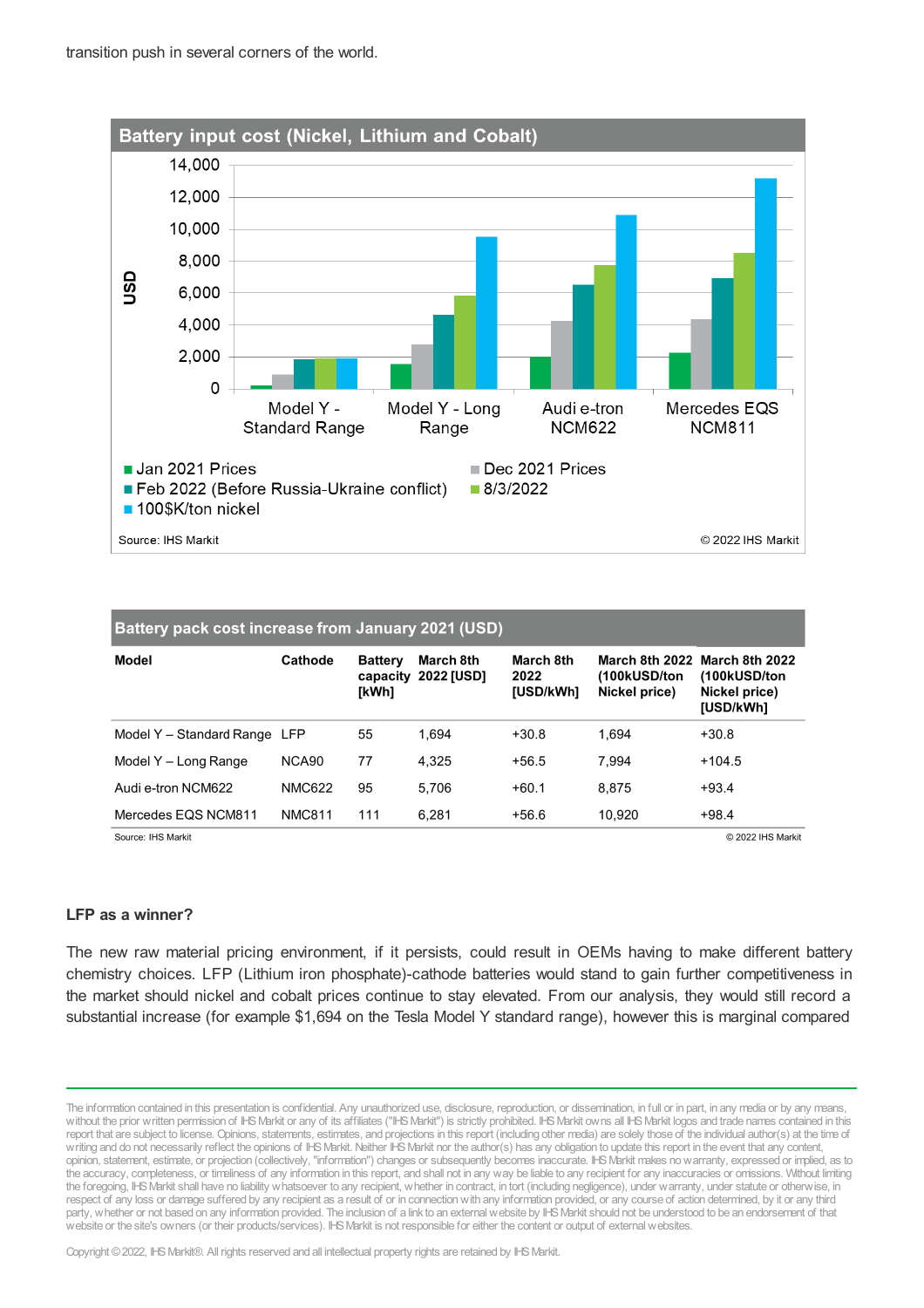

| Battery pack cost increase from January 2021 (USD) |                   |                                     |                         |                                |                                                 |                                                              |
|----------------------------------------------------|-------------------|-------------------------------------|-------------------------|--------------------------------|-------------------------------------------------|--------------------------------------------------------------|
| Model                                              | Cathode           | <b>Battery</b><br>capacity<br>[kWh] | March 8th<br>2022 [USD] | March 8th<br>2022<br>[USD/kWh] | March 8th 2022<br>(100kUSD/ton<br>Nickel price) | March 8th 2022<br>(100kUSD/ton<br>Nickel price)<br>[USD/kWh] |
| Model Y - Standard Range LFP                       |                   | 55                                  | 1.694                   | $+30.8$                        | 1.694                                           | $+30.8$                                                      |
| Model Y - Long Range                               | NCA <sub>90</sub> | 77                                  | 4.325                   | $+56.5$                        | 7.994                                           | $+104.5$                                                     |
| Audi e-tron NCM622                                 | <b>NMC622</b>     | 95                                  | 5.706                   | $+60.1$                        | 8.875                                           | $+93.4$                                                      |
| Mercedes EQS NCM811                                | <b>NMC811</b>     | 111                                 | 6.281                   | $+56.6$                        | 10.920                                          | $+98.4$                                                      |

Source: IHS Markit

© 2022 IHS Markit

## **LFP as a winner?**

The new raw material pricing environment, if it persists, could result in OEMs having to make different battery chemistry choices. LFP (Lithium iron phosphate)-cathode batteries would stand to gain further competitiveness in the market should nickel and cobalt prices continue to stay elevated. From our analysis, they would still record a substantial increase (for example \$1,694 on the Tesla Model Y standard range), however this is marginal compared

The information contained in this presentation is confidential. Any unauthorized use, disclosure, reproduction, or dissemination, in full or in part, in any media or by any means, without the prior written permission of IHS Markit or any of its affiliates ("IHS Markit") is strictly prohibited. IHS Markit owns all IHS Markit logos and trade names contained in this report that are subject to license. Opinions, statements, estimates, and projections in this report (including other media) are solely those of the individual author(s) at the time of writing and do not necessarily reflect the opinions of IHS Markit. Neither IHS Markit nor the author(s) has any obligation to update this report in the event that any content, opinion, statement, estimate, or projection (collectively, "information") changes or subsequently becomes inaccurate. IHSMarkit makes nowarranty, expressed or implied, as to the accuracy, completeness, or timeliness of any information in this report, and shall not in any way be liable to any recipient for any inaccuracies or omissions. Without limiting the foregoing, IHSMarkit shall have no liability whatsoever to any recipient, whether in contract, in tort (including negligence), under warranty, under statute or otherwise, in respect of any loss or damage suffered by any recipient as a result of or in connectionwith any information provided, or any course of action determined, by it or any third party, whether or not based on any information provided. The inclusion of a link to an external website by IHS Markit should not be understood to be an endorsement of that website or the site's owners (or their products/services). IHS Markit is not responsible for either the content or output of external websites.